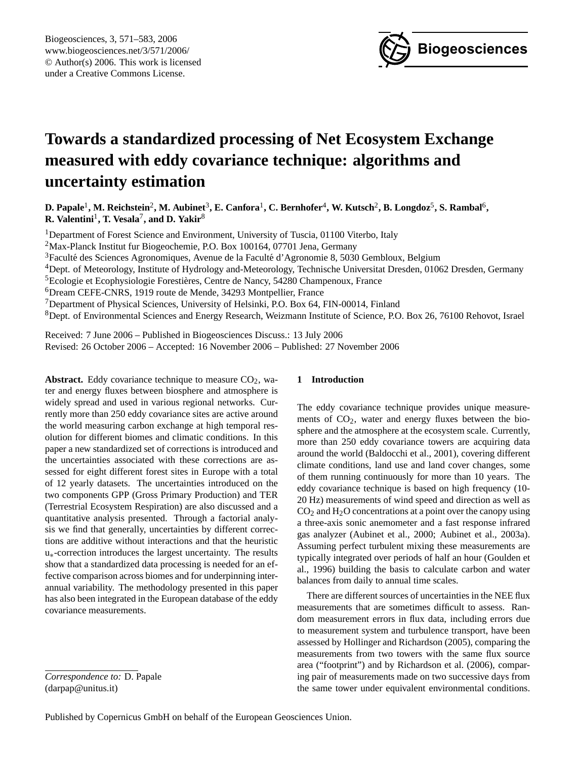

# <span id="page-0-0"></span>**Towards a standardized processing of Net Ecosystem Exchange measured with eddy covariance technique: algorithms and uncertainty estimation**

 ${\bf D.}$  Papale<sup>1</sup>, M. Reichstein<sup>2</sup>, M. Aubinet<sup>3</sup>, E. Canfora<sup>1</sup>, C. Bernhofer<sup>4</sup>, W. Kutsch<sup>2</sup>, B. Longdoz<sup>5</sup>, S. Rambal<sup>6</sup>,  $\mathbf{R}.$  Valentini<sup>1</sup>, T. Vesala<sup>7</sup>, and D. Yakir<sup>8</sup>

<sup>1</sup>Department of Forest Science and Environment, University of Tuscia, 01100 Viterbo, Italy

<sup>2</sup>Max-Planck Institut fur Biogeochemie, P.O. Box 100164, 07701 Jena, Germany

<sup>3</sup>Faculté des Sciences Agronomiques, Avenue de la Faculté d'Agronomie 8, 5030 Gembloux, Belgium

<sup>4</sup>Dept. of Meteorology, Institute of Hydrology and-Meteorology, Technische Universitat Dresden, 01062 Dresden, Germany

<sup>5</sup>Ecologie et Ecophysiologie Forestières, Centre de Nancy, 54280 Champenoux, France

<sup>6</sup>Dream CEFE-CNRS, 1919 route de Mende, 34293 Montpellier, France

<sup>7</sup>Department of Physical Sciences, University of Helsinki, P.O. Box 64, FIN-00014, Finland

<sup>8</sup>Dept. of Environmental Sciences and Energy Research, Weizmann Institute of Science, P.O. Box 26, 76100 Rehovot, Israel

Received: 7 June 2006 – Published in Biogeosciences Discuss.: 13 July 2006 Revised: 26 October 2006 – Accepted: 16 November 2006 – Published: 27 November 2006

**Abstract.** Eddy covariance technique to measure  $CO<sub>2</sub>$ , water and energy fluxes between biosphere and atmosphere is widely spread and used in various regional networks. Currently more than 250 eddy covariance sites are active around the world measuring carbon exchange at high temporal resolution for different biomes and climatic conditions. In this paper a new standardized set of corrections is introduced and the uncertainties associated with these corrections are assessed for eight different forest sites in Europe with a total of 12 yearly datasets. The uncertainties introduced on the two components GPP (Gross Primary Production) and TER (Terrestrial Ecosystem Respiration) are also discussed and a quantitative analysis presented. Through a factorial analysis we find that generally, uncertainties by different corrections are additive without interactions and that the heuristic u∗-correction introduces the largest uncertainty. The results show that a standardized data processing is needed for an effective comparison across biomes and for underpinning interannual variability. The methodology presented in this paper has also been integrated in the European database of the eddy covariance measurements.

## **1 Introduction**

The eddy covariance technique provides unique measurements of  $CO<sub>2</sub>$ , water and energy fluxes between the biosphere and the atmosphere at the ecosystem scale. Currently, more than 250 eddy covariance towers are acquiring data around the world (Baldocchi et al., 2001), covering different climate conditions, land use and land cover changes, some of them running continuously for more than 10 years. The eddy covariance technique is based on high frequency (10- 20 Hz) measurements of wind speed and direction as well as  $CO<sub>2</sub>$  and H<sub>2</sub>O concentrations at a point over the canopy using a three-axis sonic anemometer and a fast response infrared gas analyzer (Aubinet et al., 2000; Aubinet et al., 2003a). Assuming perfect turbulent mixing these measurements are typically integrated over periods of half an hour (Goulden et al., 1996) building the basis to calculate carbon and water balances from daily to annual time scales.

There are different sources of uncertainties in the NEE flux measurements that are sometimes difficult to assess. Random measurement errors in flux data, including errors due to measurement system and turbulence transport, have been assessed by Hollinger and Richardson (2005), comparing the measurements from two towers with the same flux source area ("footprint") and by Richardson et al. (2006), comparing pair of measurements made on two successive days from the same tower under equivalent environmental conditions.

*Correspondence to:* D. Papale (darpap@unitus.it)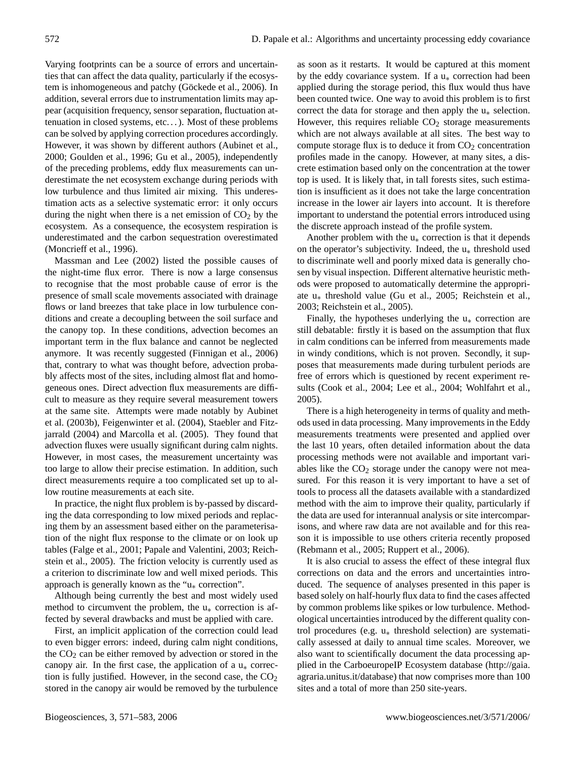Varying footprints can be a source of errors and uncertainties that can affect the data quality, particularly if the ecosystem is inhomogeneous and patchy (Göckede et al., 2006). In addition, several errors due to instrumentation limits may appear (acquisition frequency, sensor separation, fluctuation attenuation in closed systems, etc. . . ). Most of these problems can be solved by applying correction procedures accordingly. However, it was shown by different authors (Aubinet et al., 2000; Goulden et al., 1996; Gu et al., 2005), independently of the preceding problems, eddy flux measurements can underestimate the net ecosystem exchange during periods with low turbulence and thus limited air mixing. This underestimation acts as a selective systematic error: it only occurs during the night when there is a net emission of  $CO<sub>2</sub>$  by the ecosystem. As a consequence, the ecosystem respiration is underestimated and the carbon sequestration overestimated (Moncrieff et al., 1996).

Massman and Lee (2002) listed the possible causes of the night-time flux error. There is now a large consensus to recognise that the most probable cause of error is the presence of small scale movements associated with drainage flows or land breezes that take place in low turbulence conditions and create a decoupling between the soil surface and the canopy top. In these conditions, advection becomes an important term in the flux balance and cannot be neglected anymore. It was recently suggested (Finnigan et al., 2006) that, contrary to what was thought before, advection probably affects most of the sites, including almost flat and homogeneous ones. Direct advection flux measurements are difficult to measure as they require several measurement towers at the same site. Attempts were made notably by Aubinet et al. (2003b), Feigenwinter et al. (2004), Staebler and Fitzjarrald (2004) and Marcolla et al. (2005). They found that advection fluxes were usually significant during calm nights. However, in most cases, the measurement uncertainty was too large to allow their precise estimation. In addition, such direct measurements require a too complicated set up to allow routine measurements at each site.

In practice, the night flux problem is by-passed by discarding the data corresponding to low mixed periods and replacing them by an assessment based either on the parameterisation of the night flux response to the climate or on look up tables (Falge et al., 2001; Papale and Valentini, 2003; Reichstein et al., 2005). The friction velocity is currently used as a criterion to discriminate low and well mixed periods. This approach is generally known as the " $u_*$  correction".

Although being currently the best and most widely used method to circumvent the problem, the  $u_*$  correction is affected by several drawbacks and must be applied with care.

First, an implicit application of the correction could lead to even bigger errors: indeed, during calm night conditions, the  $CO<sub>2</sub>$  can be either removed by advection or stored in the canopy air. In the first case, the application of a  $u_*$  correction is fully justified. However, in the second case, the  $CO<sub>2</sub>$ stored in the canopy air would be removed by the turbulence as soon as it restarts. It would be captured at this moment by the eddy covariance system. If a  $u_*$  correction had been applied during the storage period, this flux would thus have been counted twice. One way to avoid this problem is to first correct the data for storage and then apply the  $u_*$  selection. However, this requires reliable  $CO<sub>2</sub>$  storage measurements which are not always available at all sites. The best way to compute storage flux is to deduce it from  $CO<sub>2</sub>$  concentration profiles made in the canopy. However, at many sites, a discrete estimation based only on the concentration at the tower top is used. It is likely that, in tall forests sites, such estimation is insufficient as it does not take the large concentration increase in the lower air layers into account. It is therefore important to understand the potential errors introduced using the discrete approach instead of the profile system.

Another problem with the  $u_*$  correction is that it depends on the operator's subjectivity. Indeed, the  $u_*$  threshold used to discriminate well and poorly mixed data is generally chosen by visual inspection. Different alternative heuristic methods were proposed to automatically determine the appropriate u∗ threshold value (Gu et al., 2005; Reichstein et al., 2003; Reichstein et al., 2005).

Finally, the hypotheses underlying the  $u_*$  correction are still debatable: firstly it is based on the assumption that flux in calm conditions can be inferred from measurements made in windy conditions, which is not proven. Secondly, it supposes that measurements made during turbulent periods are free of errors which is questioned by recent experiment results (Cook et al., 2004; Lee et al., 2004; Wohlfahrt et al., 2005).

There is a high heterogeneity in terms of quality and methods used in data processing. Many improvements in the Eddy measurements treatments were presented and applied over the last 10 years, often detailed information about the data processing methods were not available and important variables like the  $CO<sub>2</sub>$  storage under the canopy were not measured. For this reason it is very important to have a set of tools to process all the datasets available with a standardized method with the aim to improve their quality, particularly if the data are used for interannual analysis or site intercomparisons, and where raw data are not available and for this reason it is impossible to use others criteria recently proposed (Rebmann et al., 2005; Ruppert et al., 2006).

It is also crucial to assess the effect of these integral flux corrections on data and the errors and uncertainties introduced. The sequence of analyses presented in this paper is based solely on half-hourly flux data to find the cases affected by common problems like spikes or low turbulence. Methodological uncertainties introduced by the different quality control procedures (e.g. u∗ threshold selection) are systematically assessed at daily to annual time scales. Moreover, we also want to scientifically document the data processing applied in the CarboeuropeIP Ecosystem database [\(http://gaia.](http://gaia.agraria.unitus.it/database) [agraria.unitus.it/database\)](http://gaia.agraria.unitus.it/database) that now comprises more than 100 sites and a total of more than 250 site-years.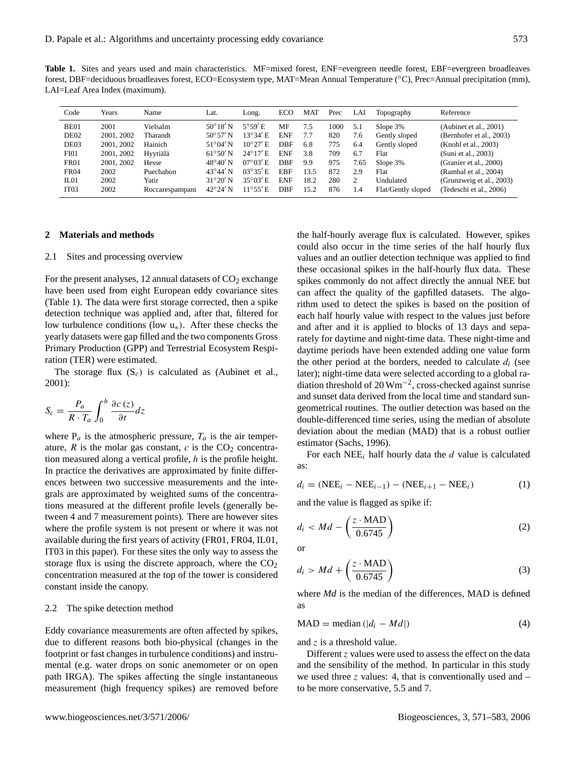**Table 1.** Sites and years used and main characteristics. MF=mixed forest, ENF=evergreen needle forest, EBF=evergreen broadleaves forest, DBF=deciduous broadleaves forest, ECO=Ecosystem type, MAT=Mean Annual Temperature (°C), Prec=Annual precipitation (mm), LAI=Leaf Area Index (maximum).

| Code             | Years      | Name            | Lat.              | Long.             | ECO        | <b>MAT</b> | Prec | LAI  | Topography         | Reference                |
|------------------|------------|-----------------|-------------------|-------------------|------------|------------|------|------|--------------------|--------------------------|
| BE01             | 2001       | Vielsalm        | $50^{\circ}18'$ N | $5^{\circ}59'$ E  | MF         | 7.5        | 1000 | 5.1  | Slope $3\%$        | (Aubinet et al., 2001)   |
| DE <sub>02</sub> | 2001, 2002 | Tharandt        | $50^{\circ}57'$ N | 13°34' E          | <b>ENF</b> | 7.7        | 820  | 7.6  | Gently sloped      | (Bernhofer et al., 2003) |
| DE03             | 2001, 2002 | Hainich         | $51^{\circ}04'$ N | $10^{\circ}27'$ E | <b>DBF</b> | 6.8        | 775  | 6.4  | Gently sloped      | (Knohl et al., 2003)     |
| FI01             | 2001, 2002 | Hyytiälä        | $61^{\circ}50'$ N | $24^{\circ}17'$ E | <b>ENF</b> | 3.8        | 709  | 6.7  | Flat               | (Suni et al., 2003)      |
| <b>FR01</b>      | 2001, 2002 | Hesse           | $48^{\circ}40'$ N | $07^{\circ}03'$ E | <b>DBF</b> | 9.9        | 975  | 7.65 | Slope $3%$         | (Granier et al., 2000)   |
| <b>FR04</b>      | 2002       | Puechabon       | $43^{\circ}44'$ N | $03^{\circ}35'$ E | EBF        | 13.5       | 872  | 2.9  | Flat               | (Rambal et al., 2004)    |
| IL01             | 2002       | Yatir           | $31^{\circ}20'$ N | $35^{\circ}03'$ E | <b>ENF</b> | 18.2       | 280  | 2    | Undulated          | (Grunzweig et al., 2003) |
| IT <sub>03</sub> | 2002       | Roccarespampani | $42^{\circ}24'$ N | $11^{\circ}55'$ E | <b>DBF</b> | 15.2       | 876  | 1.4  | Flat/Gently sloped | (Tedeschi et al., 2006)  |

## **2 Materials and methods**

#### 2.1 Sites and processing overview

For the present analyses, 12 annual datasets of  $CO<sub>2</sub>$  exchange have been used from eight European eddy covariance sites (Table 1). The data were first storage corrected, then a spike detection technique was applied and, after that, filtered for low turbulence conditions (low  $u_*$ ). After these checks the yearly datasets were gap filled and the two components Gross Primary Production (GPP) and Terrestrial Ecosystem Respiration (TER) were estimated.

The storage flux  $(S_c)$  is calculated as (Aubinet et al., 2001):

$$
S_c = \frac{P_a}{R \cdot T_a} \int_0^h \frac{\partial c(z)}{\partial t} dz
$$

where  $P_a$  is the atmospheric pressure,  $T_a$  is the air temperature,  $R$  is the molar gas constant,  $c$  is the CO<sub>2</sub> concentration measured along a vertical profile, h is the profile height. In practice the derivatives are approximated by finite differences between two successive measurements and the integrals are approximated by weighted sums of the concentrations measured at the different profile levels (generally between 4 and 7 measurement points). There are however sites where the profile system is not present or where it was not available during the first years of activity (FR01, FR04, IL01, IT03 in this paper). For these sites the only way to assess the storage flux is using the discrete approach, where the  $CO<sub>2</sub>$ concentration measured at the top of the tower is considered constant inside the canopy.

#### 2.2 The spike detection method

Eddy covariance measurements are often affected by spikes, due to different reasons both bio-physical (changes in the footprint or fast changes in turbulence conditions) and instrumental (e.g. water drops on sonic anemometer or on open path IRGA). The spikes affecting the single instantaneous measurement (high frequency spikes) are removed before the half-hourly average flux is calculated. However, spikes could also occur in the time series of the half hourly flux values and an outlier detection technique was applied to find these occasional spikes in the half-hourly flux data. These spikes commonly do not affect directly the annual NEE but can affect the quality of the gapfilled datasets. The algorithm used to detect the spikes is based on the position of each half hourly value with respect to the values just before and after and it is applied to blocks of 13 days and separately for daytime and night-time data. These night-time and daytime periods have been extended adding one value form the other period at the borders, needed to calculate  $d_i$  (see later); night-time data were selected according to a global radiation threshold of 20 Wm−<sup>2</sup> , cross-checked against sunrise and sunset data derived from the local time and standard sungeometrical routines. The outlier detection was based on the double-differenced time series, using the median of absolute deviation about the median (MAD) that is a robust outlier estimator (Sachs, 1996).

For each NEE<sub>i</sub> half hourly data the  $d$  value is calculated as:

$$
d_i = (NEE_i - NEE_{i-1}) - (NEE_{i+1} - NEE_i)
$$
\n(1)

and the value is flagged as spike if:

$$
d_i < Md - \left(\frac{z \cdot \text{MAD}}{0.6745}\right) \tag{2}
$$

or

$$
d_i > Md + \left(\frac{z \cdot \text{MAD}}{0.6745}\right) \tag{3}
$$

where *Md* is the median of the differences, MAD is defined as

$$
MAD = \text{median}(|d_i - Md|)
$$
 (4)

and z is a threshold value.

Different z values were used to assess the effect on the data and the sensibility of the method. In particular in this study we used three z values: 4, that is conventionally used and  $$ to be more conservative, 5.5 and 7.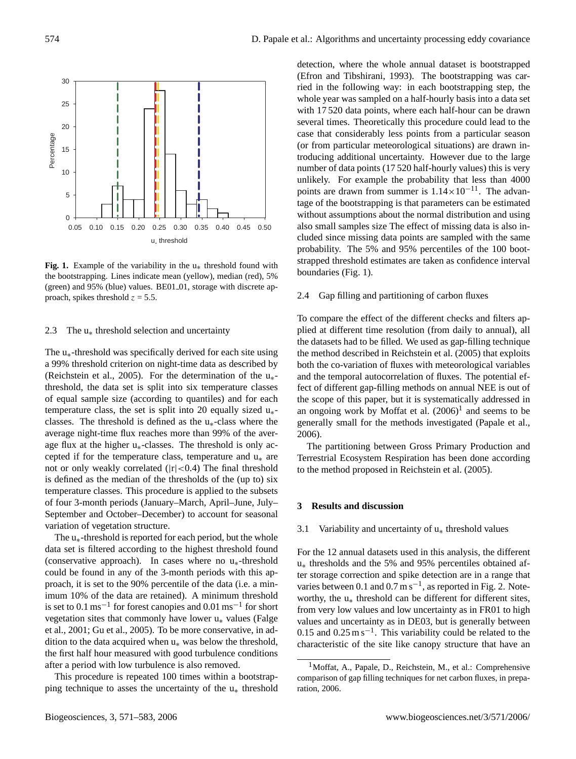

**Fig. 1.** Example of the variability in the  $u_*$  threshold found with the bootstrapping. Lines indicate mean (yellow), median (red), 5% (green) and 95% (blue) values. BE01<sub>-01</sub>, storage with discrete approach, spikes threshold  $z = 5.5$ .

## 2.3 The  $u_*$  threshold selection and uncertainty

The  $u_*$ -threshold was specifically derived for each site using a 99% threshold criterion on night-time data as described by (Reichstein et al., 2005). For the determination of the  $u_*$ threshold, the data set is split into six temperature classes of equal sample size (according to quantiles) and for each temperature class, the set is split into 20 equally sized  $u_*$ classes. The threshold is defined as the  $u_*$ -class where the average night-time flux reaches more than 99% of the average flux at the higher  $u_*$ -classes. The threshold is only accepted if for the temperature class, temperature and  $u_*$  are not or only weakly correlated  $(|r| < 0.4)$  The final threshold is defined as the median of the thresholds of the (up to) six temperature classes. This procedure is applied to the subsets of four 3-month periods (January–March, April–June, July– September and October–December) to account for seasonal variation of vegetation structure.

The  $u_*$ -threshold is reported for each period, but the whole data set is filtered according to the highest threshold found (conservative approach). In cases where no  $u_*$ -threshold could be found in any of the 3-month periods with this approach, it is set to the 90% percentile of the data (i.e. a minimum 10% of the data are retained). A minimum threshold is set to  $0.1 \text{ ms}^{-1}$  for forest canopies and  $0.01 \text{ ms}^{-1}$  for short vegetation sites that commonly have lower u∗ values (Falge et al., 2001; Gu et al., 2005). To be more conservative, in addition to the data acquired when  $u_*$  was below the threshold, the first half hour measured with good turbulence conditions after a period with low turbulence is also removed.

This procedure is repeated 100 times within a bootstrapping technique to asses the uncertainty of the  $u_*$  threshold detection, where the whole annual dataset is bootstrapped (Efron and Tibshirani, 1993). The bootstrapping was carried in the following way: in each bootstrapping step, the whole year was sampled on a half-hourly basis into a data set with 17 520 data points, where each half-hour can be drawn several times. Theoretically this procedure could lead to the case that considerably less points from a particular season (or from particular meteorological situations) are drawn introducing additional uncertainty. However due to the large number of data points (17 520 half-hourly values) this is very unlikely. For example the probability that less than 4000 points are drawn from summer is  $1.14 \times 10^{-11}$ . The advantage of the bootstrapping is that parameters can be estimated without assumptions about the normal distribution and using also small samples size The effect of missing data is also included since missing data points are sampled with the same probability. The 5% and 95% percentiles of the 100 bootstrapped threshold estimates are taken as confidence interval boundaries (Fig. 1).

## 2.4 Gap filling and partitioning of carbon fluxes

To compare the effect of the different checks and filters applied at different time resolution (from daily to annual), all the datasets had to be filled. We used as gap-filling technique the method described in Reichstein et al. (2005) that exploits both the co-variation of fluxes with meteorological variables and the temporal autocorrelation of fluxes. The potential effect of different gap-filling methods on annual NEE is out of the scope of this paper, but it is systematically addressed in an ongoing work by Moffat et al.  $(2006)^1$  $(2006)^1$  and seems to be generally small for the methods investigated (Papale et al., 2006).

The partitioning between Gross Primary Production and Terrestrial Ecosystem Respiration has been done according to the method proposed in Reichstein et al. (2005).

# **3 Results and discussion**

#### 3.1 Variability and uncertainty of  $u_*$  threshold values

For the 12 annual datasets used in this analysis, the different u∗ thresholds and the 5% and 95% percentiles obtained after storage correction and spike detection are in a range that varies between 0.1 and  $0.7 \text{ m s}^{-1}$ , as reported in Fig. 2. Noteworthy, the u<sub>∗</sub> threshold can be different for different sites, from very low values and low uncertainty as in FR01 to high values and uncertainty as in DE03, but is generally between 0.15 and  $0.25 \text{ m s}^{-1}$ . This variability could be related to the characteristic of the site like canopy structure that have an

<span id="page-3-0"></span><sup>1</sup>Moffat, A., Papale, D., Reichstein, M., et al.: Comprehensive comparison of gap filling techniques for net carbon fluxes, in preparation, 2006.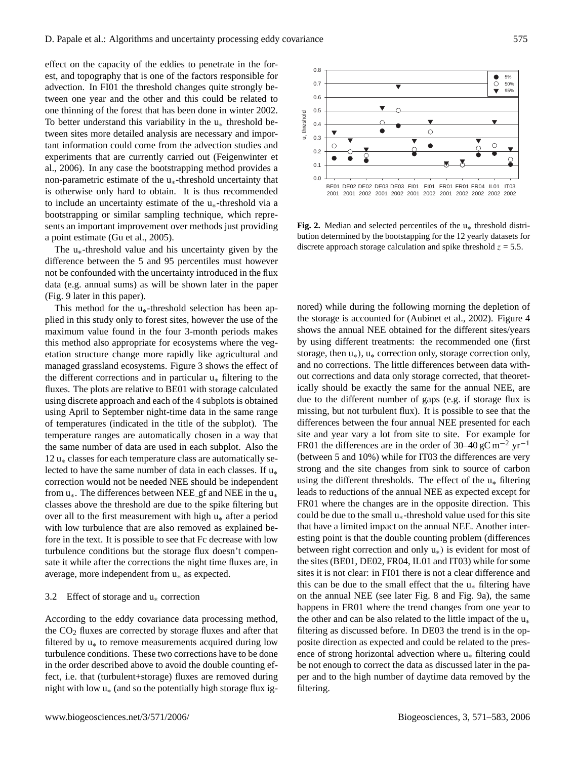effect on the capacity of the eddies to penetrate in the forest, and topography that is one of the factors responsible for advection. In FI01 the threshold changes quite strongly between one year and the other and this could be related to one thinning of the forest that has been done in winter 2002. To better understand this variability in the u∗ threshold between sites more detailed analysis are necessary and important information could come from the advection studies and experiments that are currently carried out (Feigenwinter et al., 2006). In any case the bootstrapping method provides a non-parametric estimate of the u∗-threshold uncertainty that is otherwise only hard to obtain. It is thus recommended to include an uncertainty estimate of the u∗-threshold via a bootstrapping or similar sampling technique, which represents an important improvement over methods just providing a point estimate (Gu et al., 2005).

The  $u_*$ -threshold value and his uncertainty given by the difference between the 5 and 95 percentiles must however not be confounded with the uncertainty introduced in the flux data (e.g. annual sums) as will be shown later in the paper (Fig. 9 later in this paper).

This method for the  $u_*$ -threshold selection has been applied in this study only to forest sites, however the use of the maximum value found in the four 3-month periods makes this method also appropriate for ecosystems where the vegetation structure change more rapidly like agricultural and managed grassland ecosystems. Figure 3 shows the effect of the different corrections and in particular  $u_*$  filtering to the fluxes. The plots are relative to BE01 with storage calculated using discrete approach and each of the 4 subplots is obtained using April to September night-time data in the same range of temperatures (indicated in the title of the subplot). The temperature ranges are automatically chosen in a way that the same number of data are used in each subplot. Also the 12 u∗ classes for each temperature class are automatically selected to have the same number of data in each classes. If  $u_*$ correction would not be needed NEE should be independent from  $u_*$ . The differences between NEE gf and NEE in the  $u_*$ classes above the threshold are due to the spike filtering but over all to the first measurement with high  $u_*$  after a period with low turbulence that are also removed as explained before in the text. It is possible to see that Fc decrease with low turbulence conditions but the storage flux doesn't compensate it while after the corrections the night time fluxes are, in average, more independent from u∗ as expected.

## 3.2 Effect of storage and  $u_*$  correction

According to the eddy covariance data processing method, the  $CO<sub>2</sub>$  fluxes are corrected by storage fluxes and after that filtered by  $u_*$  to remove measurements acquired during low turbulence conditions. These two corrections have to be done in the order described above to avoid the double counting effect, i.e. that (turbulent+storage) fluxes are removed during night with low  $u_*($  and so the potentially high storage flux ig-



**Fig. 2.** Median and selected percentiles of the u∗ threshold distribution determined by the bootstapping for the 12 yearly datasets for discrete approach storage calculation and spike threshold  $z = 5.5$ .

nored) while during the following morning the depletion of the storage is accounted for (Aubinet et al., 2002). Figure 4 shows the annual NEE obtained for the different sites/years by using different treatments: the recommended one (first storage, then  $u_*$ ),  $u_*$  correction only, storage correction only, and no corrections. The little differences between data without corrections and data only storage corrected, that theoretically should be exactly the same for the annual NEE, are due to the different number of gaps (e.g. if storage flux is missing, but not turbulent flux). It is possible to see that the differences between the four annual NEE presented for each site and year vary a lot from site to site. For example for FR01 the differences are in the order of 30–40 gC m<sup>-2</sup> yr<sup>-1</sup> (between 5 and 10%) while for IT03 the differences are very strong and the site changes from sink to source of carbon using the different thresholds. The effect of the  $u_*$  filtering leads to reductions of the annual NEE as expected except for FR01 where the changes are in the opposite direction. This could be due to the small  $u_*$ -threshold value used for this site that have a limited impact on the annual NEE. Another interesting point is that the double counting problem (differences between right correction and only u∗) is evident for most of the sites (BE01, DE02, FR04, IL01 and IT03) while for some sites it is not clear: in FI01 there is not a clear difference and this can be due to the small effect that the  $u_*$  filtering have on the annual NEE (see later Fig. 8 and Fig. 9a), the same happens in FR01 where the trend changes from one year to the other and can be also related to the little impact of the  $u_*$ filtering as discussed before. In DE03 the trend is in the opposite direction as expected and could be related to the presence of strong horizontal advection where u∗ filtering could be not enough to correct the data as discussed later in the paper and to the high number of daytime data removed by the filtering.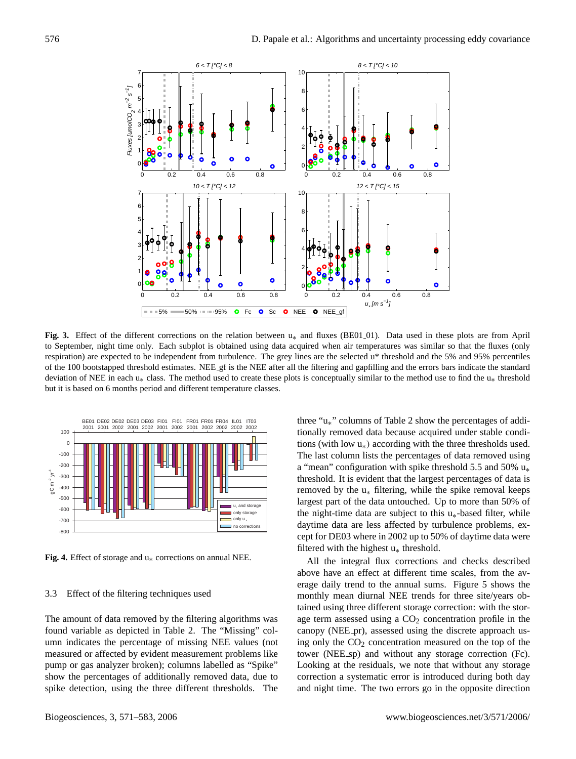

**Fig. 3.** Effect of the different corrections on the relation between u∗ and fluxes (BE01 01). Data used in these plots are from April to September, night time only. Each subplot is obtained using data acquired when air temperatures was similar so that the fluxes (only respiration) are expected to be independent from turbulence. The grey lines are the selected u\* threshold and the 5% and 95% percentiles of the 100 bootstapped threshold estimates. NEE gf is the NEE after all the filtering and gapfilling and the errors bars indicate the standard deviation of NEE in each u<sub>\*</sub> class. The method used to create these plots is conceptually similar to the method use to find the u<sub>\*</sub> threshold but it is based on 6 months period and different temperature classes.



**Fig. 4.** Effect of storage and u∗ corrections on annual NEE.

## 3.3 Effect of the filtering techniques used

The amount of data removed by the filtering algorithms was found variable as depicted in Table 2. The "Missing" column indicates the percentage of missing NEE values (not measured or affected by evident measurement problems like pump or gas analyzer broken); columns labelled as "Spike" show the percentages of additionally removed data, due to spike detection, using the three different thresholds. The three "u∗" columns of Table 2 show the percentages of additionally removed data because acquired under stable conditions (with low  $u_*$ ) according with the three thresholds used. The last column lists the percentages of data removed using a "mean" configuration with spike threshold 5.5 and 50%  $u_*$ threshold. It is evident that the largest percentages of data is removed by the  $u_*$  filtering, while the spike removal keeps largest part of the data untouched. Up to more than 50% of the night-time data are subject to this  $u_*$ -based filter, while daytime data are less affected by turbulence problems, except for DE03 where in 2002 up to 50% of daytime data were filtered with the highest  $u_*$  threshold.

All the integral flux corrections and checks described above have an effect at different time scales, from the average daily trend to the annual sums. Figure 5 shows the monthly mean diurnal NEE trends for three site/years obtained using three different storage correction: with the storage term assessed using a  $CO<sub>2</sub>$  concentration profile in the canopy (NEE\_pr), assessed using the discrete approach using only the  $CO<sub>2</sub>$  concentration measured on the top of the tower (NEE sp) and without any storage correction (Fc). Looking at the residuals, we note that without any storage correction a systematic error is introduced during both day and night time. The two errors go in the opposite direction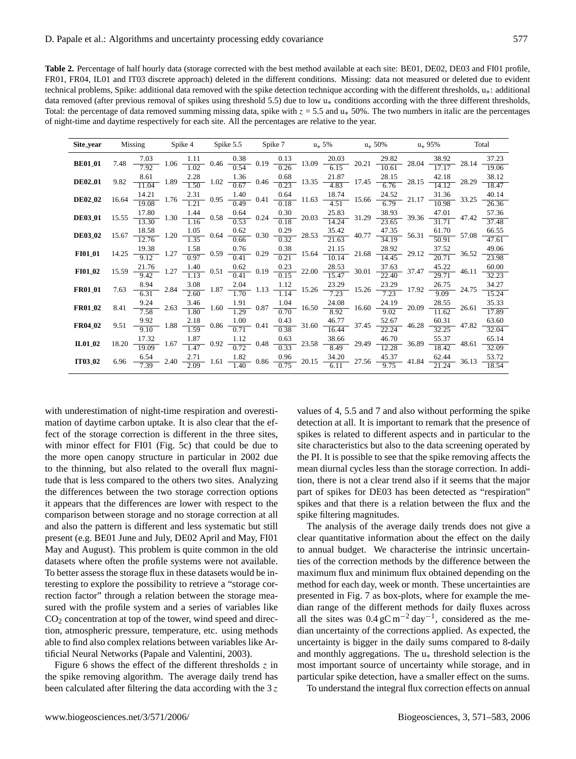**Table 2.** Percentage of half hourly data (storage corrected with the best method available at each site: BE01, DE02, DE03 and FI01 profile, FR01, FR04, IL01 and IT03 discrete approach) deleted in the different conditions. Missing: data not measured or deleted due to evident technical problems, Spike: additional data removed with the spike detection technique according with the different thresholds, u∗: additional data removed (after previous removal of spikes using threshold 5.5) due to low  $u_*$  conditions according with the three different thresholds, Total: the percentage of data removed summing missing data, spike with  $z = 5.5$  and  $u_*$  50%. The two numbers in italic are the percentages of night-time and daytime respectively for each site. All the percentages are relative to the year.

| Site_year           | Missing |  |  | Spike 4 Spike 5.5 Spike 7 $u_* 5\%$ $u_* 50\%$ $u_* 95\%$                                                                                                                                                                                                                        | Total                     |  |
|---------------------|---------|--|--|----------------------------------------------------------------------------------------------------------------------------------------------------------------------------------------------------------------------------------------------------------------------------------|---------------------------|--|
| <b>BE01_01</b>      |         |  |  | 7.48 $\frac{7.03}{7.92}$ 1.06 $\frac{1.11}{1.02}$ 0.46 $\frac{0.38}{0.54}$ 0.19 $\frac{0.13}{0.26}$ 13.09 $\frac{20.03}{6.15}$ 20.21 $\frac{29.82}{10.61}$ 28.04 $\frac{38.92}{17.17}$ 28.14 -                                                                                   | 37.23<br>19.06            |  |
| <b>DE02_01</b>      |         |  |  | 9.82 $\frac{8.61}{11.04}$ 1.89 $\frac{2.28}{1.50}$ 1.02 $\frac{1.36}{0.67}$ 0.46 $\frac{0.68}{0.23}$ 13.35 $\frac{21.87}{4.83}$ 17.45 $\frac{28.15}{6.76}$ 28.15 $\frac{42.18}{14.12}$ 28.29                                                                                     | 38.12<br>18.47            |  |
| <b>DE02_02</b>      |         |  |  | $16.64 \frac{14.21}{19.08}$ 1.76 $\frac{2.31}{1.21}$ 0.95 $\frac{1.40}{0.49}$ 0.41 $\frac{0.64}{0.18}$ 11.63 $\frac{18.74}{4.51}$ 15.66 $\frac{24.52}{6.79}$ 21.17 $\frac{31.36}{10.98}$ 33.25                                                                                   | 40.14<br>26.36            |  |
| <b>DE03_01</b>      |         |  |  | $15.55$ $\frac{17.80}{13.30}$ 1.30 $\frac{1.44}{1.16}$ 0.58 $\frac{0.64}{0.53}$ 0.24 $\frac{0.30}{0.18}$ 20.03 $\frac{25.83}{14.24}$ 31.29 $\frac{38.93}{23.65}$ 39.36 $\frac{47.01}{31.71}$ 47.42                                                                               | 57.36<br>37.48            |  |
| <b>DE03_02</b>      |         |  |  | $15.67$ $\frac{18.58}{12.76}$ 1.20 $\frac{1.05}{1.35}$ 0.64 $\frac{0.62}{0.66}$ 0.30 $\frac{0.29}{0.32}$ 28.53 $\frac{35.42}{21.63}$ 40.77 $\frac{47.35}{34.19}$ 56.31 $\frac{61.70}{50.91}$ 57.08                                                                               | 66.55<br>47.61            |  |
| <b>FI01_01</b>      |         |  |  | $14.25 \quad \frac{19.38}{9.12} \quad 1.27 \quad \frac{1.58}{0.97} \quad 0.59 \quad \frac{0.76}{0.41} \quad 0.29 \quad \frac{0.38}{0.21} \quad 15.64 \quad \frac{21.15}{10.14} \quad 21.68 \quad \frac{28.92}{14.45} \quad 29.12 \quad \frac{37.52}{20.71} \quad 36.52$          | 49.06<br>23.98            |  |
| <b>FI01_02</b>      |         |  |  | $15.59$ $\frac{21.76}{9.42}$ 1.27 $\frac{1.40}{1.13}$ 0.51 $\frac{0.62}{0.41}$ 0.19 $\frac{0.23}{0.15}$ 22.00 $\frac{28.53}{15.47}$ 30.01 $\frac{37.63}{22.40}$ 37.47 $\frac{45.22}{29.71}$ 46.11 -                                                                              | 60.00<br>32.23            |  |
| <b>FR01_01</b>      |         |  |  | 7.63 $\frac{8.94}{6.31}$ 2.84 $\frac{3.08}{2.60}$ 1.87 $\frac{2.04}{1.70}$ 1.13 $\frac{1.12}{1.14}$ 15.26 $\frac{23.29}{7.23}$ 15.26 $\frac{23.29}{7.23}$ 17.92 $\frac{26.75}{9.09}$ 24.75 $\frac{34.27}{15.24}$                                                                 |                           |  |
| <b>FR01_02</b>      |         |  |  | $8.41 \quad \frac{9.24}{7.58} \quad 2.63 \quad \frac{3.46}{1.80} \quad 1.60 \quad \frac{1.91}{1.29} \quad 0.87 \quad \frac{1.04}{0.70} \quad 16.50 \quad \frac{24.08}{8.92} \quad 16.60 \quad \frac{24.19}{9.02} \quad 20.09 \quad \frac{28.55}{11.62} \quad 26.61$              | 35.33<br>$\frac{17.89}{}$ |  |
| FR04 <sub>-02</sub> |         |  |  | $9.51 \quad \frac{9.92}{9.10} \quad 1.88 \quad \frac{2.18}{1.59} \quad 0.86 \quad \frac{1.00}{0.71} \quad 0.41 \quad \frac{0.43}{0.38} \quad 31.60 \quad \frac{46.77}{16.44} \quad 37.45 \quad \frac{52.67}{22.24} \quad 46.28 \quad \frac{60.31}{32.25} \quad 47.82$            | 63.60<br>32.04            |  |
| IL01_02             |         |  |  | $18.20 \frac{17.32}{19.09}$ 1.67 $\frac{1.87}{1.47}$ 0.92 $\frac{1.12}{0.72}$ 0.48 $\frac{0.63}{0.33}$ 23.58 $\frac{38.66}{8.49}$ 29.49 $\frac{46.70}{12.28}$ 36.89 $\frac{55.37}{18.42}$ 48.61                                                                                  | 65.14<br>32.09            |  |
| <b>IT03_02</b>      |         |  |  | $6.96 \quad \frac{6.54}{7.39} \quad 2.40 \quad \frac{2.71}{2.09} \quad 1.61 \quad \frac{1.82}{1.40} \quad 0.86 \quad \frac{0.96}{0.75} \quad 20.15 \quad \frac{34.20}{6.11} \quad 27.56 \quad \frac{45.37}{9.75} \quad 41.84 \quad \frac{62.44}{21.24} \quad 36.13 \quad -10.11$ | 53.72<br>18.54            |  |

with underestimation of night-time respiration and overestimation of daytime carbon uptake. It is also clear that the effect of the storage correction is different in the three sites, with minor effect for FI01 (Fig. 5c) that could be due to the more open canopy structure in particular in 2002 due to the thinning, but also related to the overall flux magnitude that is less compared to the others two sites. Analyzing the differences between the two storage correction options it appears that the differences are lower with respect to the comparison between storage and no storage correction at all and also the pattern is different and less systematic but still present (e.g. BE01 June and July, DE02 April and May, FI01 May and August). This problem is quite common in the old datasets where often the profile systems were not available. To better assess the storage flux in these datasets would be interesting to explore the possibility to retrieve a "storage correction factor" through a relation between the storage measured with the profile system and a series of variables like  $CO<sub>2</sub>$  concentration at top of the tower, wind speed and direction, atmospheric pressure, temperature, etc. using methods able to find also complex relations between variables like Artificial Neural Networks (Papale and Valentini, 2003).

Figure 6 shows the effect of the different thresholds  $\zeta$  in the spike removing algorithm. The average daily trend has been calculated after filtering the data according with the  $3z$ 

values of 4, 5.5 and 7 and also without performing the spike detection at all. It is important to remark that the presence of spikes is related to different aspects and in particular to the site characteristics but also to the data screening operated by the PI. It is possible to see that the spike removing affects the mean diurnal cycles less than the storage correction. In addition, there is not a clear trend also if it seems that the major part of spikes for DE03 has been detected as "respiration" spikes and that there is a relation between the flux and the spike filtering magnitudes.

The analysis of the average daily trends does not give a clear quantitative information about the effect on the daily to annual budget. We characterise the intrinsic uncertainties of the correction methods by the difference between the maximum flux and minimum flux obtained depending on the method for each day, week or month. These uncertainties are presented in Fig. 7 as box-plots, where for example the median range of the different methods for daily fluxes across all the sites was  $0.4 \text{ gC m}^{-2} \text{ day}^{-1}$ , considered as the median uncertainty of the corrections applied. As expected, the uncertainty is bigger in the daily sums compared to 8-daily and monthly aggregations. The  $u_*$  threshold selection is the most important source of uncertainty while storage, and in particular spike detection, have a smaller effect on the sums.

To understand the integral flux correction effects on annual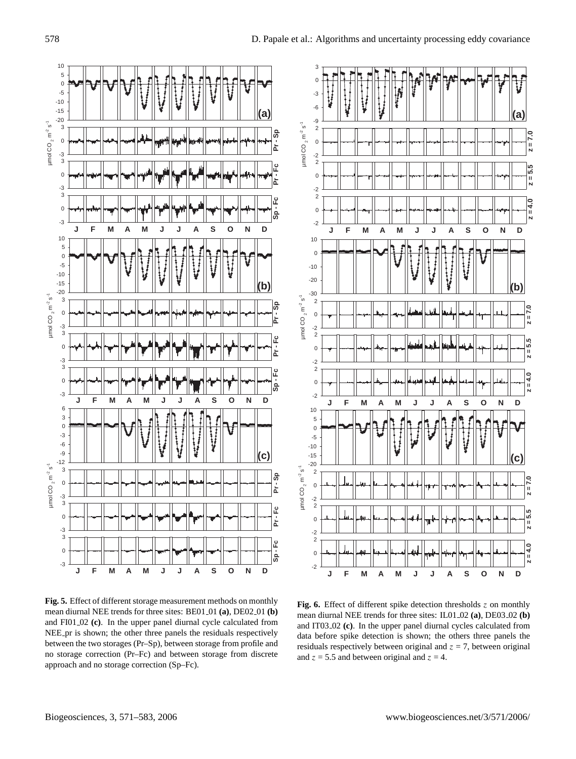

**Fig. 5.** Effect of different storage measurement methods on monthly mean diurnal NEE trends for three sites: BE01<sub>-01</sub> (a), DE02<sub>-01</sub> (b) and FI01 02 **(c)**. In the upper panel diurnal cycle calculated from NEE pr is shown; the other three panels the residuals respectively between the two storages (Pr–Sp), between storage from profile and no storage correction (Pr–Fc) and between storage from discrete approach and no storage correction (Sp–Fc).



Fig. 6. Effect of different spike detection thresholds z on monthly mean diurnal NEE trends for three sites: IL01<sub>-02</sub> (a), DE03<sub>-02</sub> (b) and IT03 02 **(c)**. In the upper panel diurnal cycles calculated from data before spike detection is shown; the others three panels the residuals respectively between original and  $z = 7$ , between original and  $z = 5.5$  and between original and  $z = 4$ .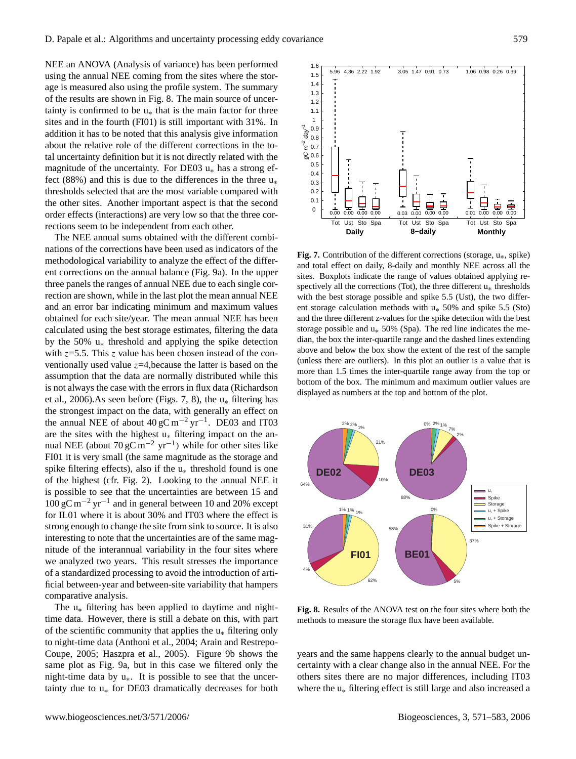NEE an ANOVA (Analysis of variance) has been performed using the annual NEE coming from the sites where the storage is measured also using the profile system. The summary of the results are shown in Fig. 8. The main source of uncertainty is confirmed to be  $u_*$  that is the main factor for three sites and in the fourth (FI01) is still important with 31%. In addition it has to be noted that this analysis give information about the relative role of the different corrections in the total uncertainty definition but it is not directly related with the magnitude of the uncertainty. For DE03  $u_*$  has a strong effect (88%) and this is due to the differences in the three  $u_*$ thresholds selected that are the most variable compared with the other sites. Another important aspect is that the second order effects (interactions) are very low so that the three corrections seem to be independent from each other.

The NEE annual sums obtained with the different combinations of the corrections have been used as indicators of the methodological variability to analyze the effect of the different corrections on the annual balance (Fig. 9a). In the upper three panels the ranges of annual NEE due to each single correction are shown, while in the last plot the mean annual NEE and an error bar indicating minimum and maximum values obtained for each site/year. The mean annual NEE has been calculated using the best storage estimates, filtering the data by the 50% u∗ threshold and applying the spike detection with  $z=5.5$ . This z value has been chosen instead of the conventionally used value  $z=4$ , because the latter is based on the assumption that the data are normally distributed while this is not always the case with the errors in flux data (Richardson et al., 2006).As seen before (Figs. 7, 8), the  $u_*$  filtering has the strongest impact on the data, with generally an effect on the annual NEE of about  $40 \text{ gC m}^{-2} \text{ yr}^{-1}$ . DE03 and IT03 are the sites with the highest  $u_*$  filtering impact on the annual NEE (about  $70 \text{ gC m}^{-2} \text{ yr}^{-1}$ ) while for other sites like FI01 it is very small (the same magnitude as the storage and spike filtering effects), also if the  $u_*$  threshold found is one of the highest (cfr. Fig. 2). Looking to the annual NEE it is possible to see that the uncertainties are between 15 and 100 gC m−<sup>2</sup> yr−<sup>1</sup> and in general between 10 and 20% except for IL01 where it is about 30% and IT03 where the effect is strong enough to change the site from sink to source. It is also interesting to note that the uncertainties are of the same magnitude of the interannual variability in the four sites where we analyzed two years. This result stresses the importance of a standardized processing to avoid the introduction of artificial between-year and between-site variability that hampers comparative analysis.

The u∗ filtering has been applied to daytime and nighttime data. However, there is still a debate on this, with part of the scientific community that applies the  $u_*$  filtering only to night-time data (Anthoni et al., 2004; Arain and Restrepo-Coupe, 2005; Haszpra et al., 2005). Figure 9b shows the same plot as Fig. 9a, but in this case we filtered only the night-time data by u∗. It is possible to see that the uncertainty due to  $u_*$  for DE03 dramatically decreases for both



**Fig. 7.** Contribution of the different corrections (storage, u∗, spike) and total effect on daily, 8-daily and monthly NEE across all the sites. Boxplots indicate the range of values obtained applying respectively all the corrections (Tot), the three different  $u_*$  thresholds with the best storage possible and spike 5.5 (Ust), the two different storage calculation methods with u∗ 50% and spike 5.5 (Sto) and the three different z-values for the spike detection with the best storage possible and  $u_*$  50% (Spa). The red line indicates the median, the box the inter-quartile range and the dashed lines extending above and below the box show the extent of the rest of the sample (unless there are outliers). In this plot an outlier is a value that is more than 1.5 times the inter-quartile range away from the top or bottom of the box. The minimum and maximum outlier values are displayed as numbers at the top and bottom of the plot.



**Fig. 8.** Results of the ANOVA test on the four sites where both the methods to measure the storage flux have been available.

years and the same happens clearly to the annual budget uncertainty with a clear change also in the annual NEE. For the others sites there are no major differences, including IT03 where the u∗ filtering effect is still large and also increased a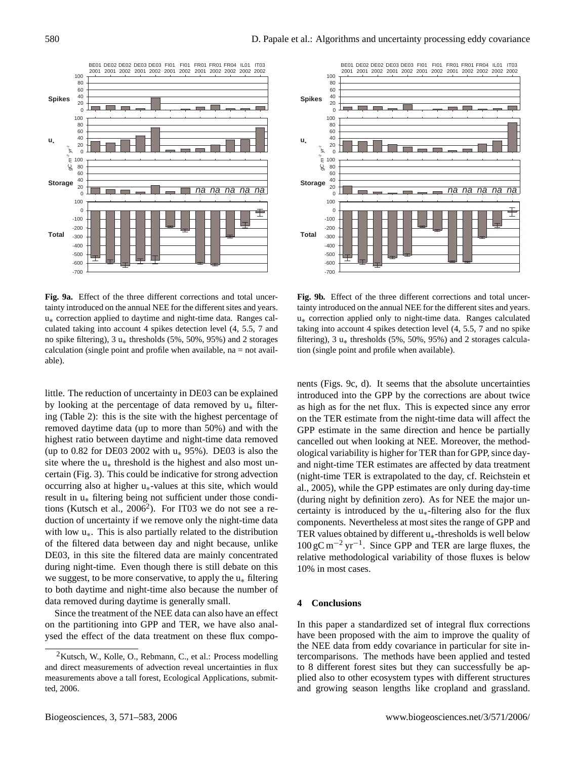

**Fig. 9a.** Effect of the three different corrections and total uncertainty introduced on the annual NEE for the different sites and years. u∗ correction applied to daytime and night-time data. Ranges calculated taking into account 4 spikes detection level (4, 5.5, 7 and no spike filtering), 3 u∗ thresholds (5%, 50%, 95%) and 2 storages calculation (single point and profile when available,  $na = not \, avail$ able).

little. The reduction of uncertainty in DE03 can be explained by looking at the percentage of data removed by  $u_*$  filtering (Table 2): this is the site with the highest percentage of removed daytime data (up to more than 50%) and with the highest ratio between daytime and night-time data removed (up to 0.82 for DE03 2002 with  $u_*$  95%). DE03 is also the site where the  $u_*$  threshold is the highest and also most uncertain (Fig. 3). This could be indicative for strong advection occurring also at higher u∗-values at this site, which would result in u∗ filtering being not sufficient under those conditions (Kutsch et al.,  $2006^2$  $2006^2$ ). For IT03 we do not see a reduction of uncertainty if we remove only the night-time data with low  $u_{*}$ . This is also partially related to the distribution of the filtered data between day and night because, unlike DE03, in this site the filtered data are mainly concentrated during night-time. Even though there is still debate on this we suggest, to be more conservative, to apply the  $u_*$  filtering to both daytime and night-time also because the number of data removed during daytime is generally small.

Since the treatment of the NEE data can also have an effect on the partitioning into GPP and TER, we have also analysed the effect of the data treatment on these flux compo-



**Fig. 9b.** Effect of the three different corrections and total uncertainty introduced on the annual NEE for the different sites and years. u∗ correction applied only to night-time data. Ranges calculated taking into account 4 spikes detection level (4, 5.5, 7 and no spike filtering), 3  $u_*$  thresholds (5%, 50%, 95%) and 2 storages calculation (single point and profile when available).

nents (Figs. 9c, d). It seems that the absolute uncertainties introduced into the GPP by the corrections are about twice as high as for the net flux. This is expected since any error on the TER estimate from the night-time data will affect the GPP estimate in the same direction and hence be partially cancelled out when looking at NEE. Moreover, the methodological variability is higher for TER than for GPP, since dayand night-time TER estimates are affected by data treatment (night-time TER is extrapolated to the day, cf. Reichstein et al., 2005), while the GPP estimates are only during day-time (during night by definition zero). As for NEE the major uncertainty is introduced by the  $u_*$ -filtering also for the flux components. Nevertheless at most sites the range of GPP and TER values obtained by different  $u_*$ -thresholds is well below 100 gC m−<sup>2</sup> yr−<sup>1</sup> . Since GPP and TER are large fluxes, the relative methodological variability of those fluxes is below 10% in most cases.

#### **4 Conclusions**

In this paper a standardized set of integral flux corrections have been proposed with the aim to improve the quality of the NEE data from eddy covariance in particular for site intercomparisons. The methods have been applied and tested to 8 different forest sites but they can successfully be applied also to other ecosystem types with different structures and growing season lengths like cropland and grassland.

<span id="page-9-0"></span> $2$ Kutsch, W., Kolle, O., Rebmann, C., et al.: Process modelling and direct measurements of advection reveal uncertainties in flux measurements above a tall forest, Ecological Applications, submitted, 2006.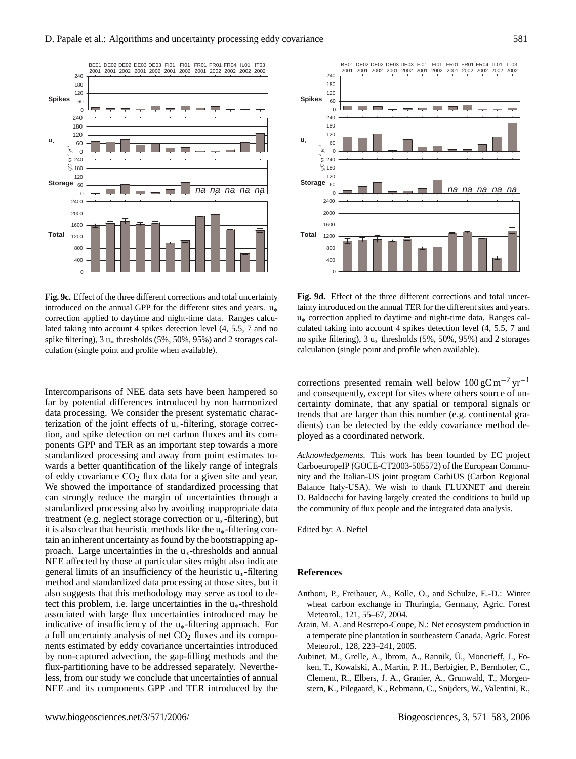

**Fig. 9c.** Effect of the three different corrections and total uncertainty introduced on the annual GPP for the different sites and years. u∗ correction applied to daytime and night-time data. Ranges calculated taking into account 4 spikes detection level (4, 5.5, 7 and no spike filtering),  $3 u_*$  thresholds (5%, 50%, 95%) and 2 storages calculation (single point and profile when available).

Intercomparisons of NEE data sets have been hampered so far by potential differences introduced by non harmonized data processing. We consider the present systematic characterization of the joint effects of  $u_*$ -filtering, storage correction, and spike detection on net carbon fluxes and its components GPP and TER as an important step towards a more standardized processing and away from point estimates towards a better quantification of the likely range of integrals of eddy covariance  $CO<sub>2</sub>$  flux data for a given site and year. We showed the importance of standardized processing that can strongly reduce the margin of uncertainties through a standardized processing also by avoiding inappropriate data treatment (e.g. neglect storage correction or u∗-filtering), but it is also clear that heuristic methods like the  $u_*$ -filtering contain an inherent uncertainty as found by the bootstrapping approach. Large uncertainties in the  $u_*$ -thresholds and annual NEE affected by those at particular sites might also indicate general limits of an insufficiency of the heuristic  $u_*$ -filtering method and standardized data processing at those sites, but it also suggests that this methodology may serve as tool to detect this problem, i.e. large uncertainties in the  $u_*$ -threshold associated with large flux uncertainties introduced may be indicative of insufficiency of the  $u_*$ -filtering approach. For a full uncertainty analysis of net  $CO<sub>2</sub>$  fluxes and its components estimated by eddy covariance uncertainties introduced by non-captured advection, the gap-filling methods and the flux-partitioning have to be addressed separately. Nevertheless, from our study we conclude that uncertainties of annual NEE and its components GPP and TER introduced by the



**Fig. 9d.** Effect of the three different corrections and total uncertainty introduced on the annual TER for the different sites and years. u∗ correction applied to daytime and night-time data. Ranges calculated taking into account 4 spikes detection level (4, 5.5, 7 and no spike filtering),  $3 u_*$  thresholds (5%, 50%, 95%) and 2 storages calculation (single point and profile when available).

corrections presented remain well below  $100 \text{ gC m}^{-2} \text{ yr}^{-1}$ and consequently, except for sites where others source of uncertainty dominate, that any spatial or temporal signals or trends that are larger than this number (e.g. continental gradients) can be detected by the eddy covariance method deployed as a coordinated network.

*Acknowledgements.* This work has been founded by EC project CarboeuropeIP (GOCE-CT2003-505572) of the European Community and the Italian-US joint program CarbiUS (Carbon Regional Balance Italy-USA). We wish to thank FLUXNET and therein D. Baldocchi for having largely created the conditions to build up the community of flux people and the integrated data analysis.

Edited by: A. Neftel

## **References**

- Anthoni, P., Freibauer, A., Kolle, O., and Schulze, E.-D.: Winter wheat carbon exchange in Thuringia, Germany, Agric. Forest Meteorol., 121, 55–67, 2004.
- Arain, M. A. and Restrepo-Coupe, N.: Net ecosystem production in a temperate pine plantation in southeastern Canada, Agric. Forest Meteorol., 128, 223–241, 2005.
- Aubinet, M., Grelle, A., Ibrom, A., Rannik, U., Moncrieff, J., Foken, T., Kowalski, A., Martin, P. H., Berbigier, P., Bernhofer, C., Clement, R., Elbers, J. A., Granier, A., Grunwald, T., Morgenstern, K., Pilegaard, K., Rebmann, C., Snijders, W., Valentini, R.,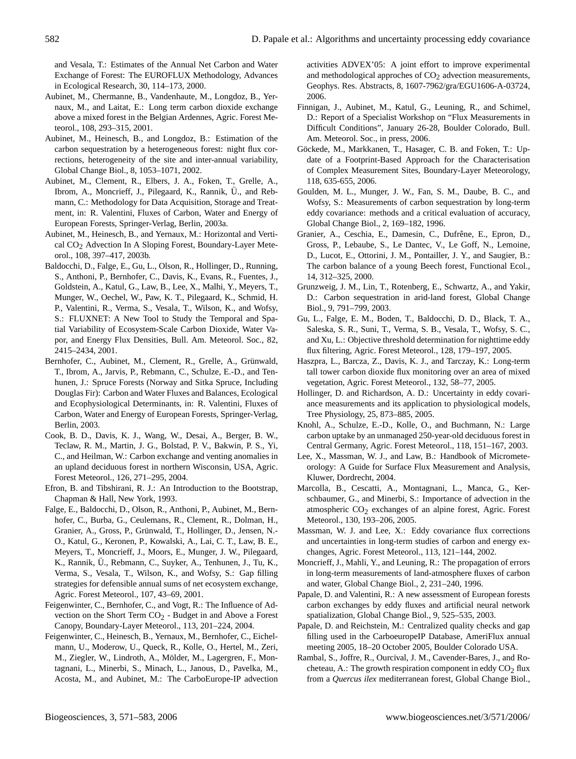and Vesala, T.: Estimates of the Annual Net Carbon and Water Exchange of Forest: The EUROFLUX Methodology, Advances in Ecological Research, 30, 114–173, 2000.

- Aubinet, M., Chermanne, B., Vandenhaute, M., Longdoz, B., Yernaux, M., and Laitat, E.: Long term carbon dioxide exchange above a mixed forest in the Belgian Ardennes, Agric. Forest Meteorol., 108, 293–315, 2001.
- Aubinet, M., Heinesch, B., and Longdoz, B.: Estimation of the carbon sequestration by a heterogeneous forest: night flux corrections, heterogeneity of the site and inter-annual variability, Global Change Biol., 8, 1053–1071, 2002.
- Aubinet, M., Clement, R., Elbers, J. A., Foken, T., Grelle, A., Ibrom, A., Moncrieff, J., Pilegaard, K., Rannik, Ü., and Rebmann, C.: Methodology for Data Acquisition, Storage and Treatment, in: R. Valentini, Fluxes of Carbon, Water and Energy of European Forests, Springer-Verlag, Berlin, 2003a.
- Aubinet, M., Heinesch, B., and Yernaux, M.: Horizontal and Vertical CO<sub>2</sub> Advection In A Sloping Forest, Boundary-Layer Meteorol., 108, 397–417, 2003b.
- Baldocchi, D., Falge, E., Gu, L., Olson, R., Hollinger, D., Running, S., Anthoni, P., Bernhofer, C., Davis, K., Evans, R., Fuentes, J., Goldstein, A., Katul, G., Law, B., Lee, X., Malhi, Y., Meyers, T., Munger, W., Oechel, W., Paw, K. T., Pilegaard, K., Schmid, H. P., Valentini, R., Verma, S., Vesala, T., Wilson, K., and Wofsy, S.: FLUXNET: A New Tool to Study the Temporal and Spatial Variability of Ecosystem-Scale Carbon Dioxide, Water Vapor, and Energy Flux Densities, Bull. Am. Meteorol. Soc., 82, 2415–2434, 2001.
- Bernhofer, C., Aubinet, M., Clement, R., Grelle, A., Grünwald, T., Ibrom, A., Jarvis, P., Rebmann, C., Schulze, E.-D., and Tenhunen, J.: Spruce Forests (Norway and Sitka Spruce, Including Douglas Fir): Carbon and Water Fluxes and Balances, Ecological and Ecophysiological Determinants, in: R. Valentini, Fluxes of Carbon, Water and Energy of European Forests, Springer-Verlag, Berlin, 2003.
- Cook, B. D., Davis, K. J., Wang, W., Desai, A., Berger, B. W., Teclaw, R. M., Martin, J. G., Bolstad, P. V., Bakwin, P. S., Yi, C., and Heilman, W.: Carbon exchange and venting anomalies in an upland deciduous forest in northern Wisconsin, USA, Agric. Forest Meteorol., 126, 271–295, 2004.
- Efron, B. and Tibshirani, R. J.: An Introduction to the Bootstrap, Chapman & Hall, New York, 1993.
- Falge, E., Baldocchi, D., Olson, R., Anthoni, P., Aubinet, M., Bernhofer, C., Burba, G., Ceulemans, R., Clement, R., Dolman, H., Granier, A., Gross, P., Grünwald, T., Hollinger, D., Jensen, N.-O., Katul, G., Keronen, P., Kowalski, A., Lai, C. T., Law, B. E., Meyers, T., Moncrieff, J., Moors, E., Munger, J. W., Pilegaard, K., Rannik, Ü., Rebmann, C., Suyker, A., Tenhunen, J., Tu, K., Verma, S., Vesala, T., Wilson, K., and Wofsy, S.: Gap filling strategies for defensible annual sums of net ecosystem exchange, Agric. Forest Meteorol., 107, 43–69, 2001.
- Feigenwinter, C., Bernhofer, C., and Vogt, R.: The Influence of Advection on the Short Term  $CO<sub>2</sub>$  - Budget in and Above a Forest Canopy, Boundary-Layer Meteorol., 113, 201–224, 2004.
- Feigenwinter, C., Heinesch, B., Yernaux, M., Bernhofer, C., Eichelmann, U., Moderow, U., Queck, R., Kolle, O., Hertel, M., Zeri, M., Ziegler, W., Lindroth, A., Mölder, M., Lagergren, F., Montagnani, L., Minerbi, S., Minach, L., Janous, D., Pavelka, M., Acosta, M., and Aubinet, M.: The CarboEurope-IP advection

activities ADVEX'05: A joint effort to improve experimental and methodological approches of  $CO<sub>2</sub>$  advection measurements, Geophys. Res. Abstracts, 8, 1607-7962/gra/EGU1606-A-03724, 2006.

- Finnigan, J., Aubinet, M., Katul, G., Leuning, R., and Schimel, D.: Report of a Specialist Workshop on "Flux Measurements in Difficult Conditions", January 26-28, Boulder Colorado, Bull. Am. Meteorol. Soc., in press, 2006.
- Göckede, M., Markkanen, T., Hasager, C. B. and Foken, T.: Update of a Footprint-Based Approach for the Characterisation of Complex Measurement Sites, Boundary-Layer Meteorology, 118, 635-655, 2006.
- Goulden, M. L., Munger, J. W., Fan, S. M., Daube, B. C., and Wofsy, S.: Measurements of carbon sequestration by long-term eddy covariance: methods and a critical evaluation of accuracy, Global Change Biol., 2, 169–182, 1996.
- Granier, A., Ceschia, E., Damesin, C., Dufrêne, E., Epron, D., Gross, P., Lebaube, S., Le Dantec, V., Le Goff, N., Lemoine, D., Lucot, E., Ottorini, J. M., Pontailler, J. Y., and Saugier, B.: The carbon balance of a young Beech forest, Functional Ecol., 14, 312–325, 2000.
- Grunzweig, J. M., Lin, T., Rotenberg, E., Schwartz, A., and Yakir, D.: Carbon sequestration in arid-land forest, Global Change Biol., 9, 791–799, 2003.
- Gu, L., Falge, E. M., Boden, T., Baldocchi, D. D., Black, T. A., Saleska, S. R., Suni, T., Verma, S. B., Vesala, T., Wofsy, S. C., and Xu, L.: Objective threshold determination for nighttime eddy flux filtering, Agric. Forest Meteorol., 128, 179–197, 2005.
- Haszpra, L., Barcza, Z., Davis, K. J., and Tarczay, K.: Long-term tall tower carbon dioxide flux monitoring over an area of mixed vegetation, Agric. Forest Meteorol., 132, 58–77, 2005.
- Hollinger, D. and Richardson, A. D.: Uncertainty in eddy covariance measurements and its application to physiological models, Tree Physiology, 25, 873–885, 2005.
- Knohl, A., Schulze, E.-D., Kolle, O., and Buchmann, N.: Large carbon uptake by an unmanaged 250-year-old deciduous forest in Central Germany, Agric. Forest Meteorol., 118, 151–167, 2003.
- Lee, X., Massman, W. J., and Law, B.: Handbook of Micrometeorology: A Guide for Surface Flux Measurement and Analysis, Kluwer, Dordrecht, 2004.
- Marcolla, B., Cescatti, A., Montagnani, L., Manca, G., Kerschbaumer, G., and Minerbi, S.: Importance of advection in the atmospheric  $CO<sub>2</sub>$  exchanges of an alpine forest, Agric. Forest Meteorol., 130, 193–206, 2005.
- Massman, W. J. and Lee, X.: Eddy covariance flux corrections and uncertainties in long-term studies of carbon and energy exchanges, Agric. Forest Meteorol., 113, 121–144, 2002.
- Moncrieff, J., Mahli, Y., and Leuning, R.: The propagation of errors in long-term measurements of land-atmosphere fluxes of carbon and water, Global Change Biol., 2, 231–240, 1996.
- Papale, D. and Valentini, R.: A new assessment of European forests carbon exchanges by eddy fluxes and artificial neural network spatialization, Global Change Biol., 9, 525–535, 2003.
- Papale, D. and Reichstein, M.: Centralized quality checks and gap filling used in the CarboeuropeIP Database, AmeriFlux annual meeting 2005, 18–20 October 2005, Boulder Colorado USA.
- Rambal, S., Joffre, R., Ourcival, J. M., Cavender-Bares, J., and Rocheteau, A.: The growth respiration component in eddy  $CO<sub>2</sub>$  flux from a *Quercus ilex* mediterranean forest, Global Change Biol.,